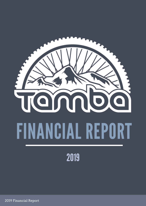

Financial Report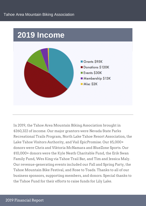

In 2019, the Tahoe Area Mountain Biking Association brought in \$260,322 of income. Our major grantors were Nevada State Parks Recreational Trails Program, North Lake Tahoe Resort Association, the Lake Tahoe Visitors Authority, and Vail EpicPromise. Our \$5,000+ donors were Chris and Viktoria McNamara and BlueZone Sports. Our \$10,000+ donors were the Kyle Neath Charitable Fund, the Erik Swan Family Fund, Wes King via Tahoe Trail Bar, and Tim and Jessica Maly. Our revenue-generating events included our Fall and Spring Party, the Tahoe Mountain Bike Festival, and Rose to Toads. Thanks to all of our business sponsors, supporting members, and donors. Special thanks to the Tahoe Fund for their efforts to raise funds for Lily Lake.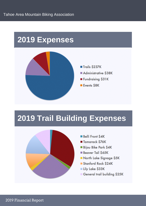

## **2019 Trail Building Expenses**



- Belli Front \$4K
- Tamarack \$76K
- Bijou Bike Park \$4K
- Beaver Tail S65K
- North Lake Signage \$5K
- Stanford Rock \$24K
- Lily Lake \$33K
- General trail building \$25K